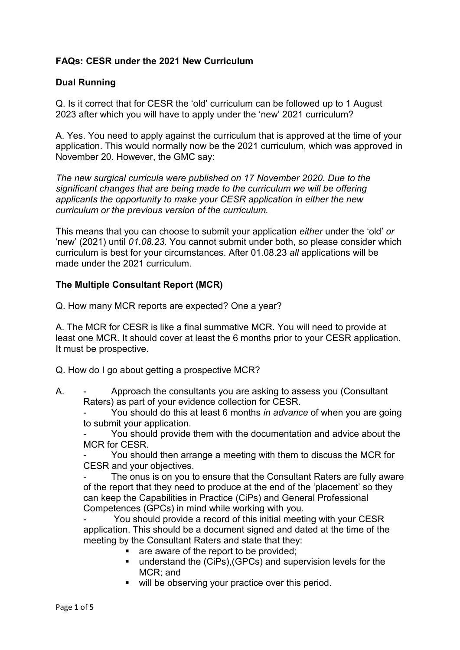# **FAQs: CESR under the 2021 New Curriculum**

### **Dual Running**

Q. Is it correct that for CESR the 'old' curriculum can be followed up to 1 August 2023 after which you will have to apply under the 'new' 2021 curriculum?

A. Yes. You need to apply against the curriculum that is approved at the time of your application. This would normally now be the 2021 curriculum, which was approved in November 20. However, the GMC say:

*The new surgical curricula were published on 17 November 2020. Due to the significant changes that are being made to the curriculum we will be offering applicants the opportunity to make your CESR application in either the new curriculum or the previous version of the curriculum.*

This means that you can choose to submit your application *either* under the 'old' *or* 'new' (2021) until *01.08.23.* You cannot submit under both, so please consider which curriculum is best for your circumstances. After 01.08.23 *all* applications will be made under the 2021 curriculum.

#### **The Multiple Consultant Report (MCR)**

Q. How many MCR reports are expected? One a year?

A. The MCR for CESR is like a final summative MCR. You will need to provide at least one MCR. It should cover at least the 6 months prior to your CESR application. It must be prospective.

Q. How do I go about getting a prospective MCR?

A. - Approach the consultants you are asking to assess you (Consultant Raters) as part of your evidence collection for CESR.

- You should do this at least 6 months *in advance* of when you are going to submit your application.

You should provide them with the documentation and advice about the MCR for CESR.

You should then arrange a meeting with them to discuss the MCR for CESR and your objectives.

The onus is on you to ensure that the Consultant Raters are fully aware of the report that they need to produce at the end of the 'placement' so they can keep the Capabilities in Practice (CiPs) and General Professional Competences (GPCs) in mind while working with you.

You should provide a record of this initial meeting with your CESR application. This should be a document signed and dated at the time of the meeting by the Consultant Raters and state that they:

- **are aware of the report to be provided;**
- understand the (CiPs), (GPCs) and supervision levels for the MCR; and
- **will be observing your practice over this period.**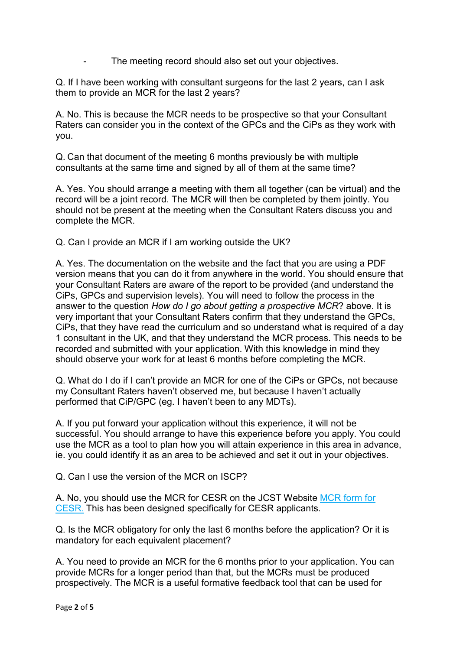The meeting record should also set out your objectives.

Q. If I have been working with consultant surgeons for the last 2 years, can I ask them to provide an MCR for the last 2 years?

A. No. This is because the MCR needs to be prospective so that your Consultant Raters can consider you in the context of the GPCs and the CiPs as they work with you.

Q. Can that document of the meeting 6 months previously be with multiple consultants at the same time and signed by all of them at the same time?

A. Yes. You should arrange a meeting with them all together (can be virtual) and the record will be a joint record. The MCR will then be completed by them jointly. You should not be present at the meeting when the Consultant Raters discuss you and complete the MCR.

Q. Can I provide an MCR if I am working outside the UK?

A. Yes. The documentation on the website and the fact that you are using a PDF version means that you can do it from anywhere in the world. You should ensure that your Consultant Raters are aware of the report to be provided (and understand the CiPs, GPCs and supervision levels). You will need to follow the process in the answer to the question *How do I go about getting a prospective MCR*? above. It is very important that your Consultant Raters confirm that they understand the GPCs, CiPs, that they have read the curriculum and so understand what is required of a day 1 consultant in the UK, and that they understand the MCR process. This needs to be recorded and submitted with your application. With this knowledge in mind they should observe your work for at least 6 months before completing the MCR.

Q. What do I do if I can't provide an MCR for one of the CiPs or GPCs, not because my Consultant Raters haven't observed me, but because I haven't actually performed that CiP/GPC (eg. I haven't been to any MDTs).

A. If you put forward your application without this experience, it will not be successful. You should arrange to have this experience before you apply. You could use the MCR as a tool to plan how you will attain experience in this area in advance, ie. you could identify it as an area to be achieved and set it out in your objectives.

Q. Can I use the version of the MCR on ISCP?

A. No, you should use the MCR for CESR on the JCST Website [MCR form for](https://www.jcst.org/-/media/files/jcst/cesr/mcr-form-for-cesr2021.docx)  [CESR.](https://www.jcst.org/-/media/files/jcst/cesr/mcr-form-for-cesr2021.docx) This has been designed specifically for CESR applicants.

Q. Is the MCR obligatory for only the last 6 months before the application? Or it is mandatory for each equivalent placement?

A. You need to provide an MCR for the 6 months prior to your application. You can provide MCRs for a longer period than that, but the MCRs must be produced prospectively. The MCR is a useful formative feedback tool that can be used for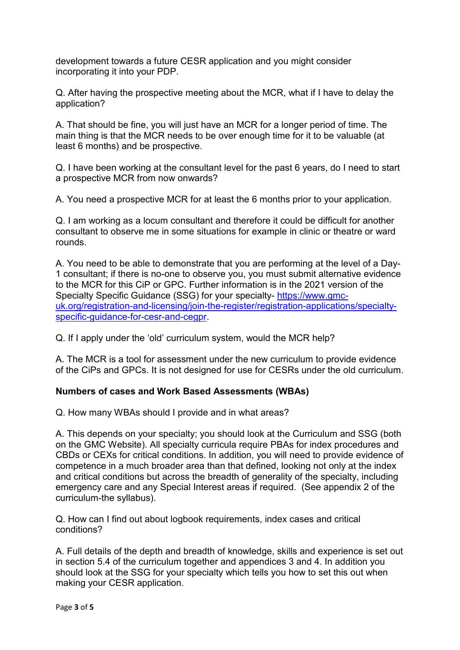development towards a future CESR application and you might consider incorporating it into your PDP.

Q. After having the prospective meeting about the MCR, what if I have to delay the application?

A. That should be fine, you will just have an MCR for a longer period of time. The main thing is that the MCR needs to be over enough time for it to be valuable (at least 6 months) and be prospective.

Q. I have been working at the consultant level for the past 6 years, do I need to start a prospective MCR from now onwards?

A. You need a prospective MCR for at least the 6 months prior to your application.

Q. I am working as a locum consultant and therefore it could be difficult for another consultant to observe me in some situations for example in clinic or theatre or ward rounds.

A. You need to be able to demonstrate that you are performing at the level of a Day-1 consultant; if there is no-one to observe you, you must submit alternative evidence to the MCR for this CiP or GPC. Further information is in the 2021 version of the Specialty Specific Guidance (SSG) for your specialty- [https://www.gmc](https://www.gmc-uk.org/registration-and-licensing/join-the-register/registration-applications/specialty-specific-guidance-for-cesr-and-cegpr)[uk.org/registration-and-licensing/join-the-register/registration-applications/specialty](https://www.gmc-uk.org/registration-and-licensing/join-the-register/registration-applications/specialty-specific-guidance-for-cesr-and-cegpr)[specific-guidance-for-cesr-and-cegpr.](https://www.gmc-uk.org/registration-and-licensing/join-the-register/registration-applications/specialty-specific-guidance-for-cesr-and-cegpr)

Q. If I apply under the 'old' curriculum system, would the MCR help?

A. The MCR is a tool for assessment under the new curriculum to provide evidence of the CiPs and GPCs. It is not designed for use for CESRs under the old curriculum.

# **Numbers of cases and Work Based Assessments (WBAs)**

Q. How many WBAs should I provide and in what areas?

A. This depends on your specialty; you should look at the Curriculum and SSG (both on the GMC Website). All specialty curricula require PBAs for index procedures and CBDs or CEXs for critical conditions. In addition, you will need to provide evidence of competence in a much broader area than that defined, looking not only at the index and critical conditions but across the breadth of generality of the specialty, including emergency care and any Special Interest areas if required. (See appendix 2 of the curriculum-the syllabus).

Q. How can I find out about logbook requirements, index cases and critical conditions?

A. Full details of the depth and breadth of knowledge, skills and experience is set out in section 5.4 of the curriculum together and appendices 3 and 4. In addition you should look at the SSG for your specialty which tells you how to set this out when making your CESR application.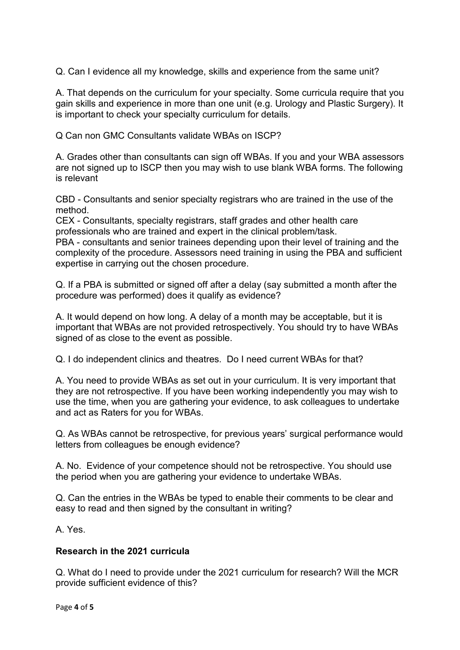Q. Can I evidence all my knowledge, skills and experience from the same unit?

A. That depends on the curriculum for your specialty. Some curricula require that you gain skills and experience in more than one unit (e.g. Urology and Plastic Surgery). It is important to check your specialty curriculum for details.

Q Can non GMC Consultants validate WBAs on ISCP?

A. Grades other than consultants can sign off WBAs. If you and your WBA assessors are not signed up to ISCP then you may wish to use blank WBA forms. The following is relevant

CBD - Consultants and senior specialty registrars who are trained in the use of the method.

CEX - Consultants, specialty registrars, staff grades and other health care professionals who are trained and expert in the clinical problem/task.

PBA - consultants and senior trainees depending upon their level of training and the complexity of the procedure. Assessors need training in using the PBA and sufficient expertise in carrying out the chosen procedure.

Q. If a PBA is submitted or signed off after a delay (say submitted a month after the procedure was performed) does it qualify as evidence?

A. It would depend on how long. A delay of a month may be acceptable, but it is important that WBAs are not provided retrospectively. You should try to have WBAs signed of as close to the event as possible.

Q. I do independent clinics and theatres. Do I need current WBAs for that?

A. You need to provide WBAs as set out in your curriculum. It is very important that they are not retrospective. If you have been working independently you may wish to use the time, when you are gathering your evidence, to ask colleagues to undertake and act as Raters for you for WBAs.

Q. As WBAs cannot be retrospective, for previous years' surgical performance would letters from colleagues be enough evidence?

A. No. Evidence of your competence should not be retrospective. You should use the period when you are gathering your evidence to undertake WBAs.

Q. Can the entries in the WBAs be typed to enable their comments to be clear and easy to read and then signed by the consultant in writing?

A. Yes.

### **Research in the 2021 curricula**

Q. What do I need to provide under the 2021 curriculum for research? Will the MCR provide sufficient evidence of this?